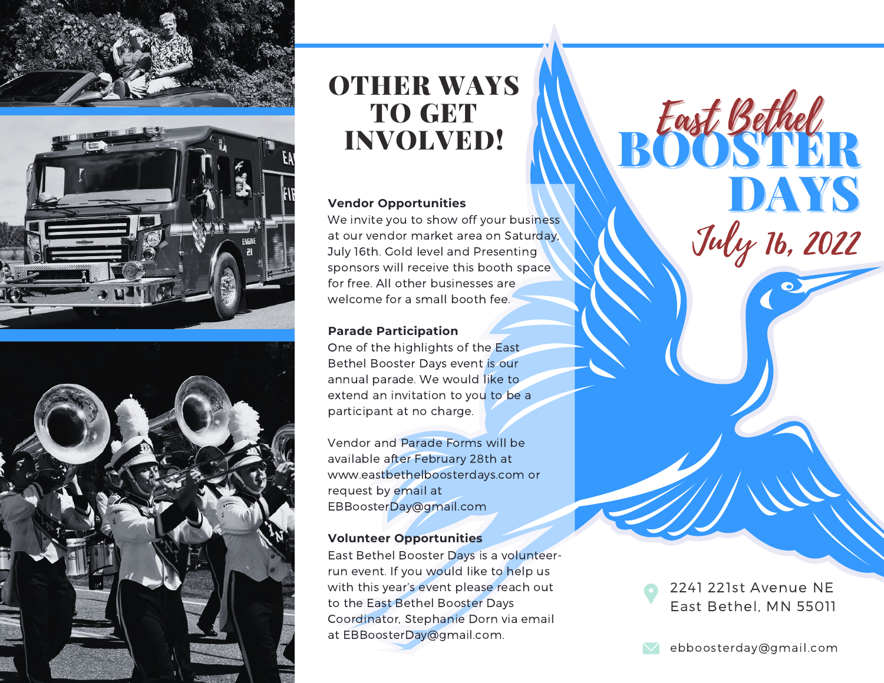





# OTHER WAYS TO GET INVOLVED!

#### **Vendor Opportunities**

We invite you to show off your business at our vendor market area on Saturday, July 16th. Gold level and Presenting sponsors will receive this booth space for free. All other businesses are welcome for a small booth fee.

### **Parade Participation**

One of the highlights of the East Bethel Booster Days event is our annual parade. We would like to extend an invitation to you to be a participant at no charge.

Vendor and Parade Forms will be available after February 28th at www.eastbethelboosterdays.com or request by email at EBBoosterDay@gmail.com

### **Volunteer Opportunities**

East Bethel Booster Days is a volunteerrun event. If you would like to help us with this year's event please reach out to the East Bethel Booster Days Coordinator, Stephanie Dorn via email at EBBoosterDay@gmail.com.

2241 221st Avenue NE East Bethel, MN 55011

BOOSTER

East Bethel

DAYS

July 16, 2022

ebboosterday@gmail.com